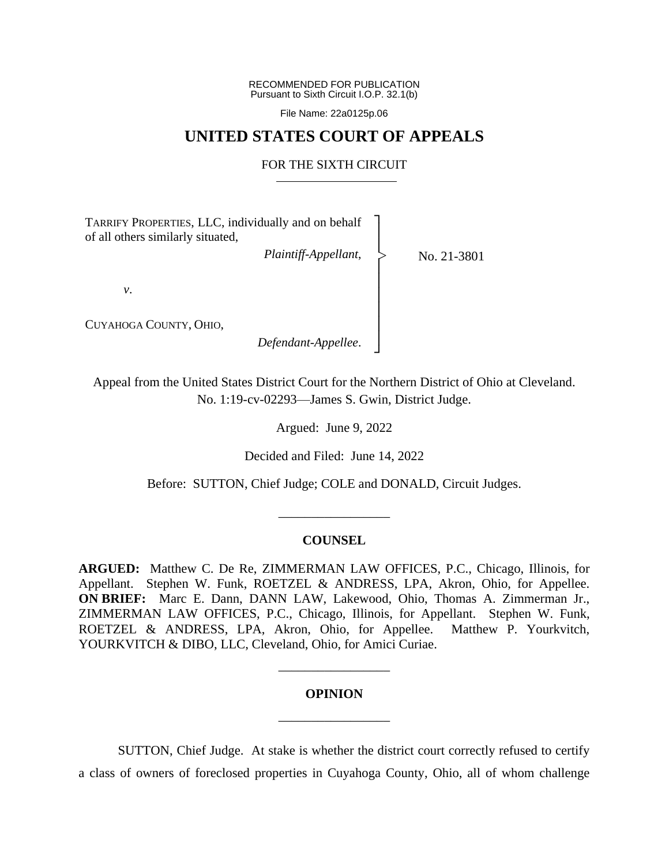RECOMMENDED FOR PUBLICATION Pursuant to Sixth Circuit I.O.P. 32.1(b)

File Name: 22a0125p.06

# **UNITED STATES COURT OF APPEALS**

## FOR THE SIXTH CIRCUIT

┐ │ │ │ │ │ │ │ │ ┘

|<br>|<br>|

TARRIFY PROPERTIES, LLC, individually and on behalf of all others similarly situated,

*Plaintiff-Appellant*,

No. 21-3801

*v*.

CUYAHOGA COUNTY, OHIO,

*Defendant-Appellee*.

Appeal from the United States District Court for the Northern District of Ohio at Cleveland. No. 1:19-cv-02293—James S. Gwin, District Judge.

Argued: June 9, 2022

Decided and Filed: June 14, 2022

Before: SUTTON, Chief Judge; COLE and DONALD, Circuit Judges.

#### **COUNSEL**

\_\_\_\_\_\_\_\_\_\_\_\_\_\_\_\_\_

**ARGUED:** Matthew C. De Re, ZIMMERMAN LAW OFFICES, P.C., Chicago, Illinois, for Appellant. Stephen W. Funk, ROETZEL & ANDRESS, LPA, Akron, Ohio, for Appellee. **ON BRIEF:** Marc E. Dann, DANN LAW, Lakewood, Ohio, Thomas A. Zimmerman Jr., ZIMMERMAN LAW OFFICES, P.C., Chicago, Illinois, for Appellant. Stephen W. Funk, ROETZEL & ANDRESS, LPA, Akron, Ohio, for Appellee. Matthew P. Yourkvitch, YOURKVITCH & DIBO, LLC, Cleveland, Ohio, for Amici Curiae.

### **OPINION**

\_\_\_\_\_\_\_\_\_\_\_\_\_\_\_\_\_

\_\_\_\_\_\_\_\_\_\_\_\_\_\_\_\_\_

SUTTON, Chief Judge. At stake is whether the district court correctly refused to certify a class of owners of foreclosed properties in Cuyahoga County, Ohio, all of whom challenge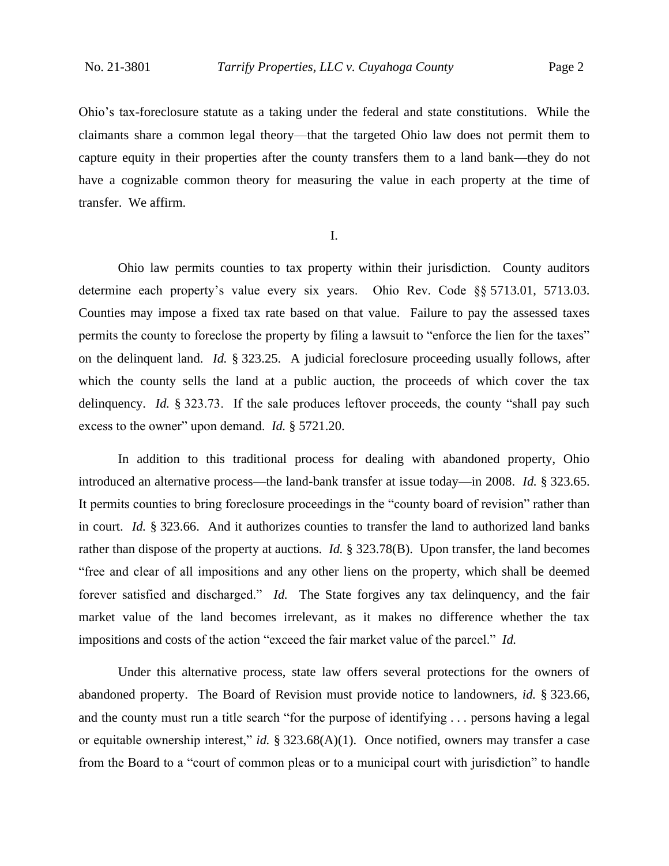Ohio's tax-foreclosure statute as a taking under the federal and state constitutions. While the claimants share a common legal theory—that the targeted Ohio law does not permit them to capture equity in their properties after the county transfers them to a land bank—they do not have a cognizable common theory for measuring the value in each property at the time of transfer. We affirm.

I.

Ohio law permits counties to tax property within their jurisdiction. County auditors determine each property's value every six years. Ohio Rev. Code §§ 5713.01, 5713.03. Counties may impose a fixed tax rate based on that value. Failure to pay the assessed taxes permits the county to foreclose the property by filing a lawsuit to "enforce the lien for the taxes" on the delinquent land. *Id.* § 323.25. A judicial foreclosure proceeding usually follows, after which the county sells the land at a public auction, the proceeds of which cover the tax delinquency. *Id.* § 323.73. If the sale produces leftover proceeds, the county "shall pay such excess to the owner" upon demand. *Id.* § 5721.20.

In addition to this traditional process for dealing with abandoned property, Ohio introduced an alternative process—the land-bank transfer at issue today—in 2008. *Id.* § 323.65. It permits counties to bring foreclosure proceedings in the "county board of revision" rather than in court. *Id.* § 323.66. And it authorizes counties to transfer the land to authorized land banks rather than dispose of the property at auctions. *Id.* § 323.78(B). Upon transfer, the land becomes "free and clear of all impositions and any other liens on the property, which shall be deemed forever satisfied and discharged." *Id.* The State forgives any tax delinquency, and the fair market value of the land becomes irrelevant, as it makes no difference whether the tax impositions and costs of the action "exceed the fair market value of the parcel." *Id.*

Under this alternative process, state law offers several protections for the owners of abandoned property. The Board of Revision must provide notice to landowners, *id.* § 323.66, and the county must run a title search "for the purpose of identifying . . . persons having a legal or equitable ownership interest," *id.* § 323.68(A)(1). Once notified, owners may transfer a case from the Board to a "court of common pleas or to a municipal court with jurisdiction" to handle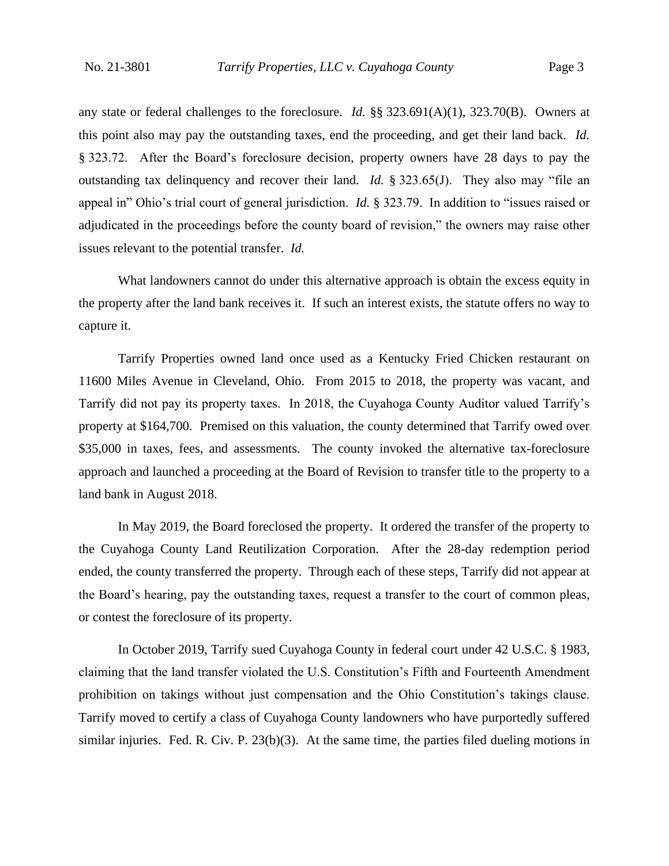any state or federal challenges to the foreclosure. *Id.* §§ 323.691(A)(1), 323.70(B). Owners at this point also may pay the outstanding taxes, end the proceeding, and get their land back. *Id.* § 323.72. After the Board's foreclosure decision, property owners have 28 days to pay the outstanding tax delinquency and recover their land. *Id.* § 323.65(J). They also may "file an appeal in" Ohio's trial court of general jurisdiction. *Id.* § 323.79. In addition to "issues raised or adjudicated in the proceedings before the county board of revision," the owners may raise other issues relevant to the potential transfer. *Id.*

What landowners cannot do under this alternative approach is obtain the excess equity in the property after the land bank receives it. If such an interest exists, the statute offers no way to capture it.

Tarrify Properties owned land once used as a Kentucky Fried Chicken restaurant on 11600 Miles Avenue in Cleveland, Ohio. From 2015 to 2018, the property was vacant, and Tarrify did not pay its property taxes. In 2018, the Cuyahoga County Auditor valued Tarrify's property at \$164,700. Premised on this valuation, the county determined that Tarrify owed over \$35,000 in taxes, fees, and assessments. The county invoked the alternative tax-foreclosure approach and launched a proceeding at the Board of Revision to transfer title to the property to a land bank in August 2018.

In May 2019, the Board foreclosed the property. It ordered the transfer of the property to the Cuyahoga County Land Reutilization Corporation. After the 28-day redemption period ended, the county transferred the property. Through each of these steps, Tarrify did not appear at the Board's hearing, pay the outstanding taxes, request a transfer to the court of common pleas, or contest the foreclosure of its property.

In October 2019, Tarrify sued Cuyahoga County in federal court under 42 U.S.C. § 1983, claiming that the land transfer violated the U.S. Constitution's Fifth and Fourteenth Amendment prohibition on takings without just compensation and the Ohio Constitution's takings clause. Tarrify moved to certify a class of Cuyahoga County landowners who have purportedly suffered similar injuries. Fed. R. Civ. P. 23(b)(3). At the same time, the parties filed dueling motions in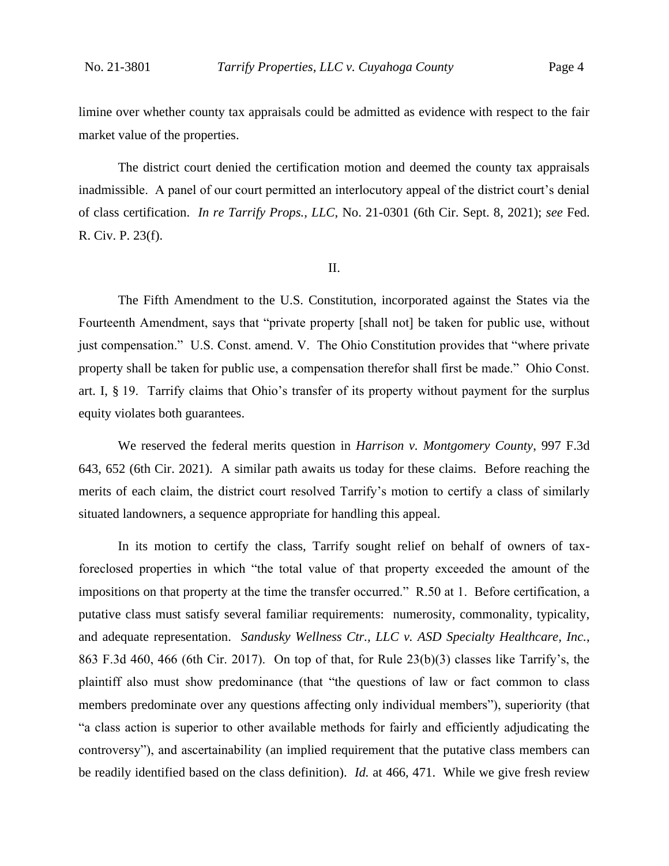limine over whether county tax appraisals could be admitted as evidence with respect to the fair market value of the properties.

The district court denied the certification motion and deemed the county tax appraisals inadmissible. A panel of our court permitted an interlocutory appeal of the district court's denial of class certification. *In re Tarrify Props., LLC*, No. 21-0301 (6th Cir. Sept. 8, 2021); *see* Fed. R. Civ. P. 23(f).

#### II.

The Fifth Amendment to the U.S. Constitution, incorporated against the States via the Fourteenth Amendment, says that "private property [shall not] be taken for public use, without just compensation." U.S. Const. amend. V. The Ohio Constitution provides that "where private property shall be taken for public use, a compensation therefor shall first be made." Ohio Const. art. I, § 19. Tarrify claims that Ohio's transfer of its property without payment for the surplus equity violates both guarantees.

We reserved the federal merits question in *Harrison v. Montgomery County*, 997 F.3d 643, 652 (6th Cir. 2021). A similar path awaits us today for these claims. Before reaching the merits of each claim, the district court resolved Tarrify's motion to certify a class of similarly situated landowners, a sequence appropriate for handling this appeal.

In its motion to certify the class, Tarrify sought relief on behalf of owners of taxforeclosed properties in which "the total value of that property exceeded the amount of the impositions on that property at the time the transfer occurred." R.50 at 1. Before certification, a putative class must satisfy several familiar requirements: numerosity, commonality, typicality, and adequate representation. *Sandusky Wellness Ctr., LLC v. ASD Specialty Healthcare, Inc.*, 863 F.3d 460, 466 (6th Cir. 2017). On top of that, for Rule 23(b)(3) classes like Tarrify's, the plaintiff also must show predominance (that "the questions of law or fact common to class members predominate over any questions affecting only individual members"), superiority (that "a class action is superior to other available methods for fairly and efficiently adjudicating the controversy"), and ascertainability (an implied requirement that the putative class members can be readily identified based on the class definition). *Id.* at 466, 471.While we give fresh review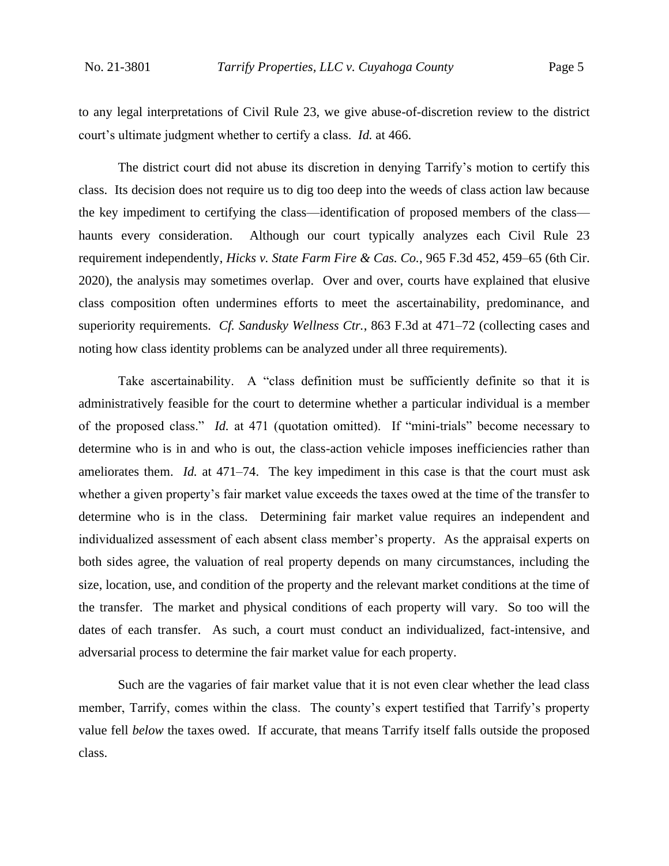to any legal interpretations of Civil Rule 23, we give abuse-of-discretion review to the district court's ultimate judgment whether to certify a class. *Id.* at 466.

The district court did not abuse its discretion in denying Tarrify's motion to certify this class. Its decision does not require us to dig too deep into the weeds of class action law because the key impediment to certifying the class—identification of proposed members of the class haunts every consideration. Although our court typically analyzes each Civil Rule 23 requirement independently, *Hicks v. State Farm Fire & Cas. Co.*, 965 F.3d 452, 459–65 (6th Cir. 2020), the analysis may sometimes overlap. Over and over, courts have explained that elusive class composition often undermines efforts to meet the ascertainability, predominance, and superiority requirements. *Cf. Sandusky Wellness Ctr.*, 863 F.3d at 471–72 (collecting cases and noting how class identity problems can be analyzed under all three requirements).

Take ascertainability. A "class definition must be sufficiently definite so that it is administratively feasible for the court to determine whether a particular individual is a member of the proposed class." *Id.* at 471 (quotation omitted). If "mini-trials" become necessary to determine who is in and who is out, the class-action vehicle imposes inefficiencies rather than ameliorates them. *Id.* at 471–74. The key impediment in this case is that the court must ask whether a given property's fair market value exceeds the taxes owed at the time of the transfer to determine who is in the class. Determining fair market value requires an independent and individualized assessment of each absent class member's property. As the appraisal experts on both sides agree, the valuation of real property depends on many circumstances, including the size, location, use, and condition of the property and the relevant market conditions at the time of the transfer. The market and physical conditions of each property will vary. So too will the dates of each transfer. As such, a court must conduct an individualized, fact-intensive, and adversarial process to determine the fair market value for each property.

Such are the vagaries of fair market value that it is not even clear whether the lead class member, Tarrify, comes within the class. The county's expert testified that Tarrify's property value fell *below* the taxes owed. If accurate, that means Tarrify itself falls outside the proposed class.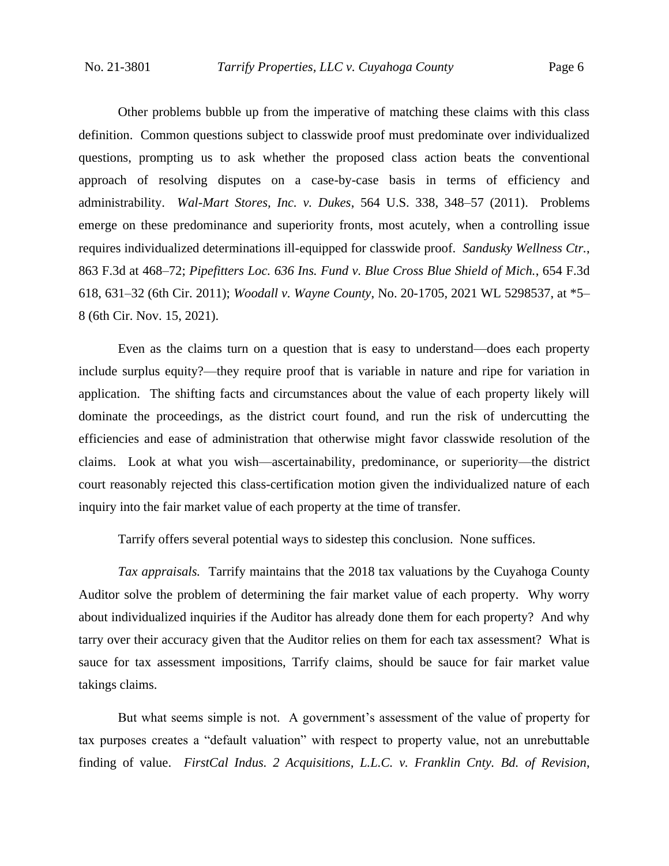Other problems bubble up from the imperative of matching these claims with this class definition. Common questions subject to classwide proof must predominate over individualized questions, prompting us to ask whether the proposed class action beats the conventional approach of resolving disputes on a case-by-case basis in terms of efficiency and administrability. *Wal-Mart Stores, Inc. v. Dukes*, 564 U.S. 338, 348–57 (2011). Problems emerge on these predominance and superiority fronts, most acutely, when a controlling issue requires individualized determinations ill-equipped for classwide proof. *Sandusky Wellness Ctr.*, 863 F.3d at 468–72; *Pipefitters Loc. 636 Ins. Fund v. Blue Cross Blue Shield of Mich.*, 654 F.3d 618, 631–32 (6th Cir. 2011); *Woodall v. Wayne County*, No. 20-1705, 2021 WL 5298537, at \*5– 8 (6th Cir. Nov. 15, 2021).

Even as the claims turn on a question that is easy to understand—does each property include surplus equity?—they require proof that is variable in nature and ripe for variation in application. The shifting facts and circumstances about the value of each property likely will dominate the proceedings, as the district court found, and run the risk of undercutting the efficiencies and ease of administration that otherwise might favor classwide resolution of the claims. Look at what you wish—ascertainability, predominance, or superiority—the district court reasonably rejected this class-certification motion given the individualized nature of each inquiry into the fair market value of each property at the time of transfer.

Tarrify offers several potential ways to sidestep this conclusion. None suffices.

*Tax appraisals.* Tarrify maintains that the 2018 tax valuations by the Cuyahoga County Auditor solve the problem of determining the fair market value of each property. Why worry about individualized inquiries if the Auditor has already done them for each property? And why tarry over their accuracy given that the Auditor relies on them for each tax assessment? What is sauce for tax assessment impositions, Tarrify claims, should be sauce for fair market value takings claims.

But what seems simple is not. A government's assessment of the value of property for tax purposes creates a "default valuation" with respect to property value, not an unrebuttable finding of value. *FirstCal Indus. 2 Acquisitions, L.L.C. v. Franklin Cnty. Bd. of Revision*,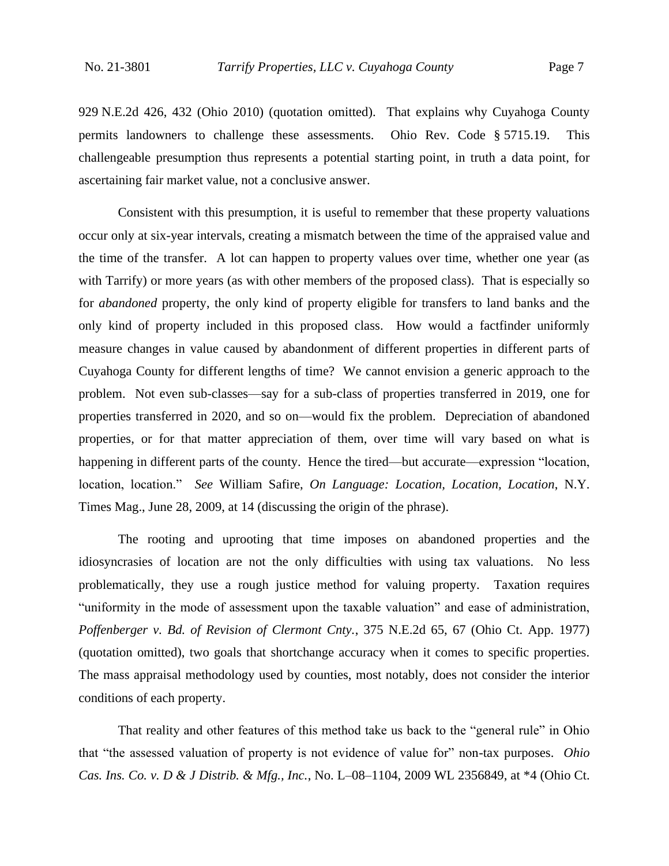929 N.E.2d 426, 432 (Ohio 2010) (quotation omitted). That explains why Cuyahoga County permits landowners to challenge these assessments. Ohio Rev. Code § 5715.19. This challengeable presumption thus represents a potential starting point, in truth a data point, for ascertaining fair market value, not a conclusive answer.

Consistent with this presumption, it is useful to remember that these property valuations occur only at six-year intervals, creating a mismatch between the time of the appraised value and the time of the transfer. A lot can happen to property values over time, whether one year (as with Tarrify) or more years (as with other members of the proposed class). That is especially so for *abandoned* property, the only kind of property eligible for transfers to land banks and the only kind of property included in this proposed class. How would a factfinder uniformly measure changes in value caused by abandonment of different properties in different parts of Cuyahoga County for different lengths of time? We cannot envision a generic approach to the problem. Not even sub-classes—say for a sub-class of properties transferred in 2019, one for properties transferred in 2020, and so on—would fix the problem. Depreciation of abandoned properties, or for that matter appreciation of them, over time will vary based on what is happening in different parts of the county. Hence the tired—but accurate—expression "location, location, location." *See* William Safire, *On Language: Location, Location, Location*, N.Y. Times Mag., June 28, 2009, at 14 (discussing the origin of the phrase).

The rooting and uprooting that time imposes on abandoned properties and the idiosyncrasies of location are not the only difficulties with using tax valuations. No less problematically, they use a rough justice method for valuing property. Taxation requires "uniformity in the mode of assessment upon the taxable valuation" and ease of administration, *Poffenberger v. Bd. of Revision of Clermont Cnty.*, 375 N.E.2d 65, 67 (Ohio Ct. App. 1977) (quotation omitted), two goals that shortchange accuracy when it comes to specific properties. The mass appraisal methodology used by counties, most notably, does not consider the interior conditions of each property.

That reality and other features of this method take us back to the "general rule" in Ohio that "the assessed valuation of property is not evidence of value for" non-tax purposes. *Ohio Cas. Ins. Co. v. D & J Distrib. & Mfg., Inc.*, No. L–08–1104, 2009 WL 2356849, at \*4 (Ohio Ct.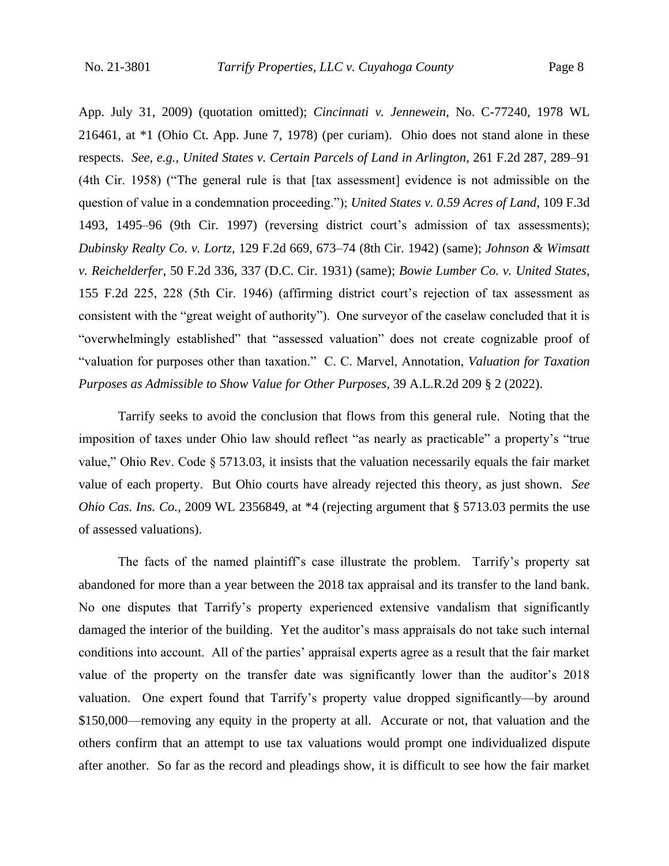App. July 31, 2009) (quotation omitted); *Cincinnati v. Jennewein*, No. C-77240, 1978 WL 216461, at \*1 (Ohio Ct. App. June 7, 1978) (per curiam). Ohio does not stand alone in these respects. *See, e.g.*, *United States v. Certain Parcels of Land in Arlington*, 261 F.2d 287, 289–91 (4th Cir. 1958) ("The general rule is that [tax assessment] evidence is not admissible on the question of value in a condemnation proceeding."); *United States v. 0.59 Acres of Land*, 109 F.3d 1493, 1495–96 (9th Cir. 1997) (reversing district court's admission of tax assessments); *Dubinsky Realty Co. v. Lortz*, 129 F.2d 669, 673–74 (8th Cir. 1942) (same); *Johnson & Wimsatt v. Reichelderfer*, 50 F.2d 336, 337 (D.C. Cir. 1931) (same); *Bowie Lumber Co. v. United States*, 155 F.2d 225, 228 (5th Cir. 1946) (affirming district court's rejection of tax assessment as consistent with the "great weight of authority"). One surveyor of the caselaw concluded that it is "overwhelmingly established" that "assessed valuation" does not create cognizable proof of "valuation for purposes other than taxation." C. C. Marvel, Annotation, *Valuation for Taxation Purposes as Admissible to Show Value for Other Purposes*, 39 A.L.R.2d 209 § 2 (2022).

Tarrify seeks to avoid the conclusion that flows from this general rule. Noting that the imposition of taxes under Ohio law should reflect "as nearly as practicable" a property's "true value," Ohio Rev. Code § 5713.03, it insists that the valuation necessarily equals the fair market value of each property. But Ohio courts have already rejected this theory, as just shown. *See Ohio Cas. Ins. Co.*, 2009 WL 2356849, at \*4 (rejecting argument that § 5713.03 permits the use of assessed valuations).

The facts of the named plaintiff's case illustrate the problem. Tarrify's property sat abandoned for more than a year between the 2018 tax appraisal and its transfer to the land bank. No one disputes that Tarrify's property experienced extensive vandalism that significantly damaged the interior of the building. Yet the auditor's mass appraisals do not take such internal conditions into account. All of the parties' appraisal experts agree as a result that the fair market value of the property on the transfer date was significantly lower than the auditor's 2018 valuation. One expert found that Tarrify's property value dropped significantly—by around \$150,000—removing any equity in the property at all. Accurate or not, that valuation and the others confirm that an attempt to use tax valuations would prompt one individualized dispute after another. So far as the record and pleadings show, it is difficult to see how the fair market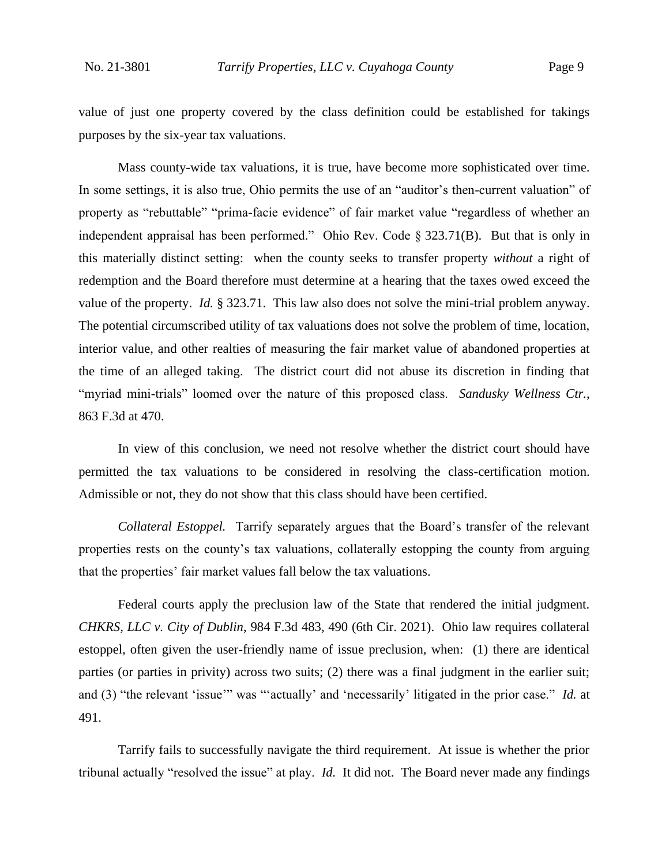value of just one property covered by the class definition could be established for takings purposes by the six-year tax valuations.

Mass county-wide tax valuations, it is true, have become more sophisticated over time. In some settings, it is also true, Ohio permits the use of an "auditor's then-current valuation" of property as "rebuttable" "prima-facie evidence" of fair market value "regardless of whether an independent appraisal has been performed." Ohio Rev. Code § 323.71(B). But that is only in this materially distinct setting: when the county seeks to transfer property *without* a right of redemption and the Board therefore must determine at a hearing that the taxes owed exceed the value of the property. *Id.* § 323.71. This law also does not solve the mini-trial problem anyway. The potential circumscribed utility of tax valuations does not solve the problem of time, location, interior value, and other realties of measuring the fair market value of abandoned properties at the time of an alleged taking. The district court did not abuse its discretion in finding that "myriad mini-trials" loomed over the nature of this proposed class. *Sandusky Wellness Ctr.*, 863 F.3d at 470.

In view of this conclusion, we need not resolve whether the district court should have permitted the tax valuations to be considered in resolving the class-certification motion. Admissible or not, they do not show that this class should have been certified.

*Collateral Estoppel.* Tarrify separately argues that the Board's transfer of the relevant properties rests on the county's tax valuations, collaterally estopping the county from arguing that the properties' fair market values fall below the tax valuations.

Federal courts apply the preclusion law of the State that rendered the initial judgment. *CHKRS, LLC v. City of Dublin*, 984 F.3d 483, 490 (6th Cir. 2021). Ohio law requires collateral estoppel, often given the user-friendly name of issue preclusion, when: (1) there are identical parties (or parties in privity) across two suits; (2) there was a final judgment in the earlier suit; and (3) "the relevant 'issue'" was "'actually' and 'necessarily' litigated in the prior case." *Id.* at 491.

Tarrify fails to successfully navigate the third requirement. At issue is whether the prior tribunal actually "resolved the issue" at play. *Id.* It did not. The Board never made any findings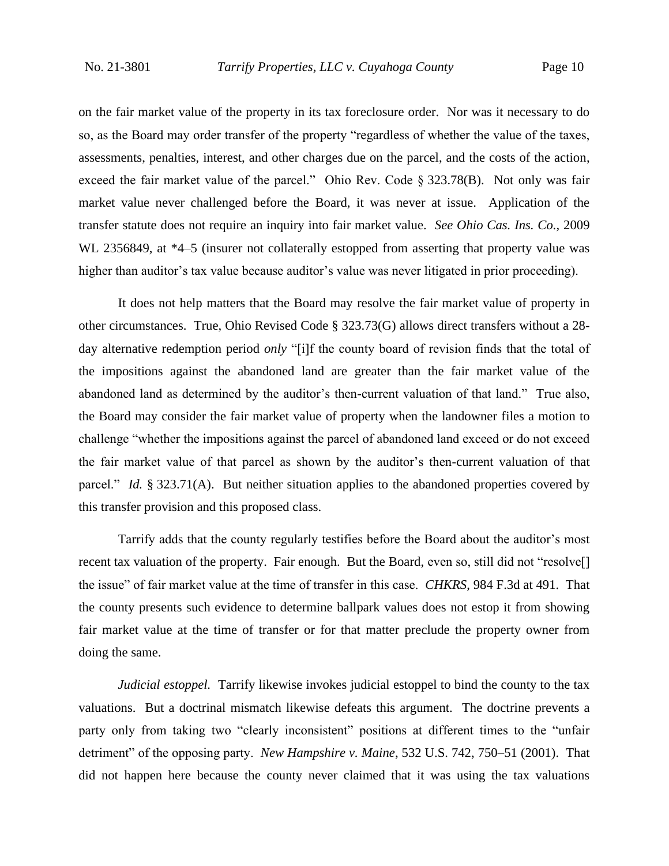on the fair market value of the property in its tax foreclosure order. Nor was it necessary to do so, as the Board may order transfer of the property "regardless of whether the value of the taxes, assessments, penalties, interest, and other charges due on the parcel, and the costs of the action, exceed the fair market value of the parcel." Ohio Rev. Code § 323.78(B). Not only was fair market value never challenged before the Board, it was never at issue. Application of the transfer statute does not require an inquiry into fair market value. *See Ohio Cas. Ins. Co.*, 2009 WL 2356849, at  $*4-5$  (insurer not collaterally estopped from asserting that property value was higher than auditor's tax value because auditor's value was never litigated in prior proceeding).

It does not help matters that the Board may resolve the fair market value of property in other circumstances. True, Ohio Revised Code § 323.73(G) allows direct transfers without a 28 day alternative redemption period *only* "[i]f the county board of revision finds that the total of the impositions against the abandoned land are greater than the fair market value of the abandoned land as determined by the auditor's then-current valuation of that land." True also, the Board may consider the fair market value of property when the landowner files a motion to challenge "whether the impositions against the parcel of abandoned land exceed or do not exceed the fair market value of that parcel as shown by the auditor's then-current valuation of that parcel." *Id.* § 323.71(A). But neither situation applies to the abandoned properties covered by this transfer provision and this proposed class.

Tarrify adds that the county regularly testifies before the Board about the auditor's most recent tax valuation of the property. Fair enough. But the Board, even so, still did not "resolve<sup>[]</sup> the issue" of fair market value at the time of transfer in this case. *CHKRS*, 984 F.3d at 491. That the county presents such evidence to determine ballpark values does not estop it from showing fair market value at the time of transfer or for that matter preclude the property owner from doing the same.

*Judicial estoppel.* Tarrify likewise invokes judicial estoppel to bind the county to the tax valuations. But a doctrinal mismatch likewise defeats this argument. The doctrine prevents a party only from taking two "clearly inconsistent" positions at different times to the "unfair detriment" of the opposing party. *New Hampshire v. Maine*, 532 U.S. 742, 750–51 (2001). That did not happen here because the county never claimed that it was using the tax valuations